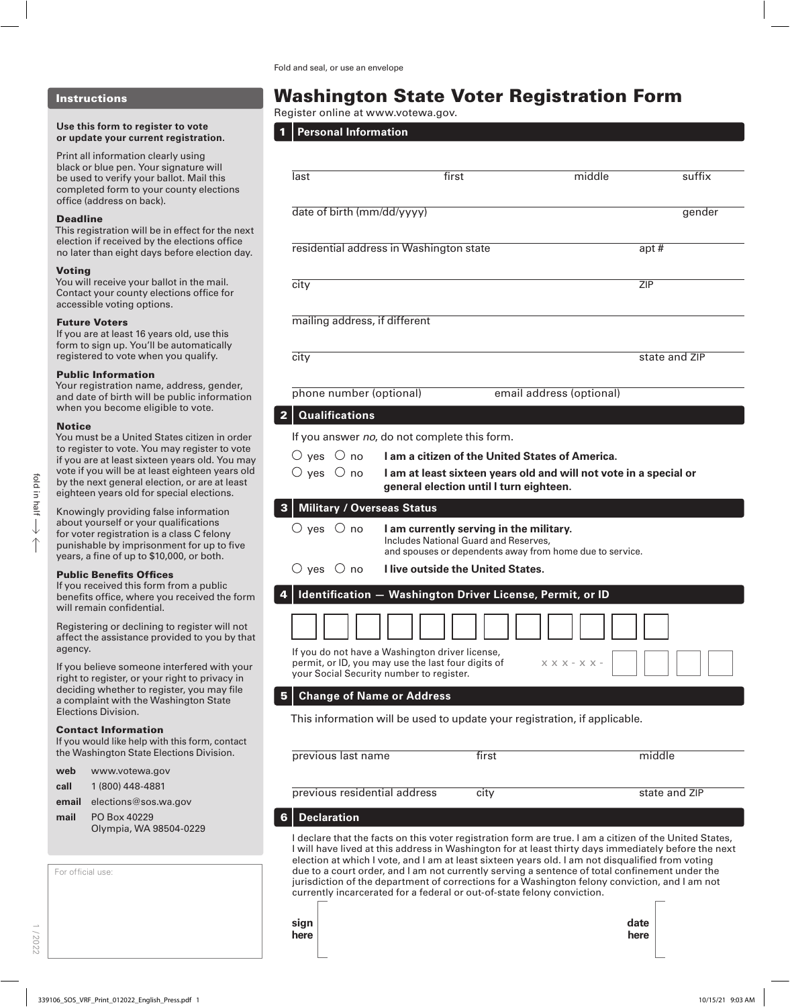#### Instructions

#### **Use this form to register to vote or update your current registration.**

Print all information clearly using black or blue pen. Your signature will be used to verify your ballot. Mail this completed form to your county elections office (address on back).

#### Deadline

This registration will be in effect for the next election if received by the elections office no later than eight days before election day.

#### Voting

You will receive your ballot in the mail. Contact your county elections office for accessible voting options.

#### Future Voters

If you are at least 16 years old, use this form to sign up. You'll be automatically registered to vote when you qualify.

#### Public Information

Your registration name, address, gender, and date of birth will be public information when you become eligible to vote.

#### Notice

You must be a United States citizen in order to register to vote. You may register to vote if you are at least sixteen years old. You may vote if you will be at least eighteen years old by the next general election, or are at least eighteen years old for special elections.

Knowingly providing false information about yourself or your qualifications for voter registration is a class C felony punishable by imprisonment for up to five years, a fine of up to \$10,000, or both.

#### Public Benefits Offices

If you received this form from a public benefits office, where you received the form will remain confidential.

Registering or declining to register will not affect the assistance provided to you by that agency.

If you believe someone interfered with your right to register, or your right to privacy in deciding whether to register, you may file a complaint with the Washington State Elections Division.

#### Contact Information

If you would like help with this form, contact the Washington State Elections Division.

- **web** www.votewa.gov
- **call** 1 (800) 448-4881
- **email** elections@sos.wa.gov
- **mail** PO Box 40229 Olympia, WA 98504-0229

|  | For official use: |  |
|--|-------------------|--|
|--|-------------------|--|

1 / 2022

# Washington State Voter Registration Form

Register online at www.votewa.gov.

1 **Personal Information**

| last                                    | first                                                                                                                                                                                                                                                                                                                                                                                                                                                                                                                                                                                              | middle                   | suffix             |
|-----------------------------------------|----------------------------------------------------------------------------------------------------------------------------------------------------------------------------------------------------------------------------------------------------------------------------------------------------------------------------------------------------------------------------------------------------------------------------------------------------------------------------------------------------------------------------------------------------------------------------------------------------|--------------------------|--------------------|
| date of birth (mm/dd/yyyy)              |                                                                                                                                                                                                                                                                                                                                                                                                                                                                                                                                                                                                    |                          | gender             |
|                                         | residential address in Washington state                                                                                                                                                                                                                                                                                                                                                                                                                                                                                                                                                            |                          | apt $\overline{H}$ |
| city                                    |                                                                                                                                                                                                                                                                                                                                                                                                                                                                                                                                                                                                    |                          | <b>ZIP</b>         |
| mailing address, if different           |                                                                                                                                                                                                                                                                                                                                                                                                                                                                                                                                                                                                    |                          |                    |
| city                                    |                                                                                                                                                                                                                                                                                                                                                                                                                                                                                                                                                                                                    |                          | state and ZIP      |
| phone number (optional)                 |                                                                                                                                                                                                                                                                                                                                                                                                                                                                                                                                                                                                    | email address (optional) |                    |
| <b>Qualifications</b><br>$\overline{2}$ |                                                                                                                                                                                                                                                                                                                                                                                                                                                                                                                                                                                                    |                          |                    |
|                                         | If you answer no, do not complete this form.                                                                                                                                                                                                                                                                                                                                                                                                                                                                                                                                                       |                          |                    |
| $\bigcirc$ yes $\bigcirc$ no            | <b>Lam a citizen of the United States of America.</b>                                                                                                                                                                                                                                                                                                                                                                                                                                                                                                                                              |                          |                    |
| $\bigcirc$ yes $\bigcirc$ no            | I am at least sixteen years old and will not vote in a special or<br>general election until I turn eighteen.                                                                                                                                                                                                                                                                                                                                                                                                                                                                                       |                          |                    |
| <b>Military / Overseas Status</b><br>3  |                                                                                                                                                                                                                                                                                                                                                                                                                                                                                                                                                                                                    |                          |                    |
| $\circ$ yes $\circ$ no                  | I am currently serving in the military.<br>Includes National Guard and Reserves,<br>and spouses or dependents away from home due to service.                                                                                                                                                                                                                                                                                                                                                                                                                                                       |                          |                    |
| $\bigcirc$ yes $\bigcirc$ no            | <b>I live outside the United States.</b>                                                                                                                                                                                                                                                                                                                                                                                                                                                                                                                                                           |                          |                    |
|                                         | Identification - Washington Driver License, Permit, or ID                                                                                                                                                                                                                                                                                                                                                                                                                                                                                                                                          |                          |                    |
|                                         |                                                                                                                                                                                                                                                                                                                                                                                                                                                                                                                                                                                                    |                          |                    |
|                                         | If you do not have a Washington driver license,<br>permit, or ID, you may use the last four digits of<br>your Social Security number to register.                                                                                                                                                                                                                                                                                                                                                                                                                                                  | $X$ X X - X X -          |                    |
|                                         | <b>Change of Name or Address</b>                                                                                                                                                                                                                                                                                                                                                                                                                                                                                                                                                                   |                          |                    |
|                                         | This information will be used to update your registration, if applicable.                                                                                                                                                                                                                                                                                                                                                                                                                                                                                                                          |                          |                    |
| previous last name                      | first                                                                                                                                                                                                                                                                                                                                                                                                                                                                                                                                                                                              |                          | middle             |
| previous residential address            | city                                                                                                                                                                                                                                                                                                                                                                                                                                                                                                                                                                                               |                          | state and ZIP      |
| <b>Declaration</b><br>6                 |                                                                                                                                                                                                                                                                                                                                                                                                                                                                                                                                                                                                    |                          |                    |
|                                         | I declare that the facts on this voter registration form are true. I am a citizen of the United States,<br>I will have lived at this address in Washington for at least thirty days immediately before the next<br>election at which I vote, and I am at least sixteen years old. I am not disqualified from voting<br>due to a court order, and I am not currently serving a sentence of total confinement under the<br>jurisdiction of the department of corrections for a Washington felony conviction, and I am not<br>currently incarcerated for a federal or out-of-state felony conviction. |                          |                    |

| sıgn |
|------|
| here |
|      |